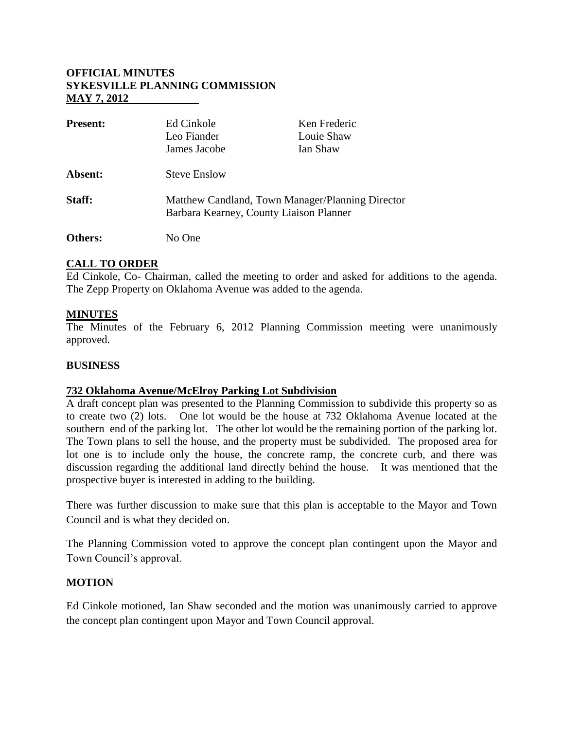# **OFFICIAL MINUTES SYKESVILLE PLANNING COMMISSION MAY 7, 2012**

| <b>Present:</b> | Ed Cinkole                                                                                  | Ken Frederic |
|-----------------|---------------------------------------------------------------------------------------------|--------------|
|                 | Leo Fiander                                                                                 | Louie Shaw   |
|                 | James Jacobe                                                                                | Ian Shaw     |
| Absent:         | <b>Steve Enslow</b>                                                                         |              |
| Staff:          | Matthew Candland, Town Manager/Planning Director<br>Barbara Kearney, County Liaison Planner |              |
| Others:         | No One                                                                                      |              |

# **CALL TO ORDER**

Ed Cinkole, Co- Chairman, called the meeting to order and asked for additions to the agenda. The Zepp Property on Oklahoma Avenue was added to the agenda.

# **MINUTES**

The Minutes of the February 6, 2012 Planning Commission meeting were unanimously approved.

### **BUSINESS**

### **732 Oklahoma Avenue/McElroy Parking Lot Subdivision**

A draft concept plan was presented to the Planning Commission to subdivide this property so as to create two (2) lots. One lot would be the house at 732 Oklahoma Avenue located at the southern end of the parking lot. The other lot would be the remaining portion of the parking lot. The Town plans to sell the house, and the property must be subdivided. The proposed area for lot one is to include only the house, the concrete ramp, the concrete curb, and there was discussion regarding the additional land directly behind the house. It was mentioned that the prospective buyer is interested in adding to the building.

There was further discussion to make sure that this plan is acceptable to the Mayor and Town Council and is what they decided on.

The Planning Commission voted to approve the concept plan contingent upon the Mayor and Town Council's approval.

### **MOTION**

Ed Cinkole motioned, Ian Shaw seconded and the motion was unanimously carried to approve the concept plan contingent upon Mayor and Town Council approval.